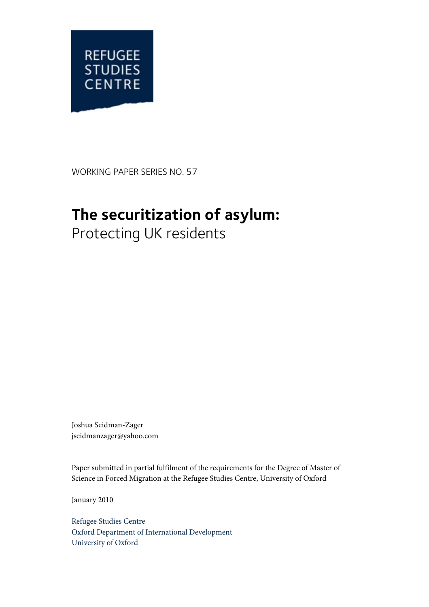

WORKING PAPER SERIES NO. 57

# **The securitization of asylum:**

Protecting UK residents

Joshua Seidman-Zager jseidmanzager@yahoo.com

Paper submitted in partial fulfilment of the requirements for the Degree of Master of Science in Forced Migration at the Refugee Studies Centre, University of Oxford

January 2010

Refugee Studies Centre Oxford Department of International Development University of Oxford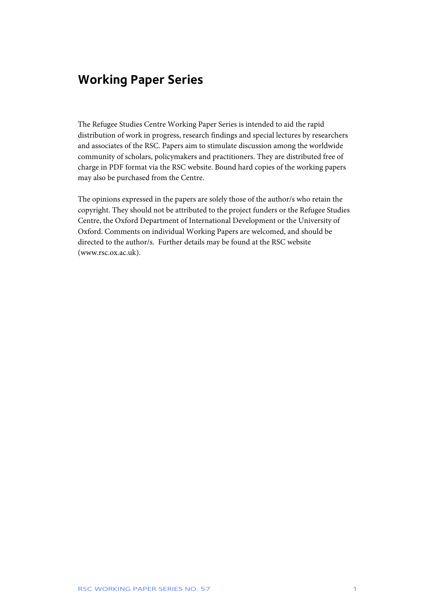## **Working Paper Series**

The Refugee Studies Centre Working Paper Series is intended to aid the rapid distribution of work in progress, research findings and special lectures by researchers and associates of the RSC. Papers aim to stimulate discussion among the worldwide community of scholars, policymakers and practitioners. They are distributed free of charge in PDF format via the RSC website. Bound hard copies of the working papers may also be purchased from the Centre.

The opinions expressed in the papers are solely those of the author/s who retain the copyright. They should not be attributed to the project funders or the Refugee Studies Centre, the Oxford Department of International Development or the University of Oxford. Comments on individual Working Papers are welcomed, and should be directed to the author/s. Further details may be found at the RSC website (www.rsc.ox.ac.uk).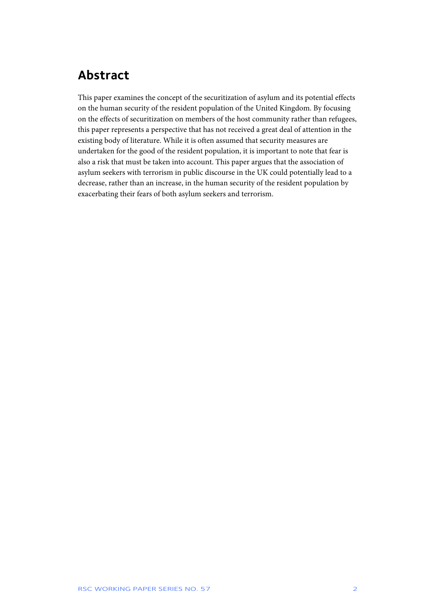# **Abstract**

This paper examines the concept of the securitization of asylum and its potential effects on the human security of the resident population of the United Kingdom. By focusing on the effects of securitization on members of the host community rather than refugees, this paper represents a perspective that has not received a great deal of attention in the existing body of literature. While it is often assumed that security measures are undertaken for the good of the resident population, it is important to note that fear is also a risk that must be taken into account. This paper argues that the association of asylum seekers with terrorism in public discourse in the UK could potentially lead to a decrease, rather than an increase, in the human security of the resident population by exacerbating their fears of both asylum seekers and terrorism.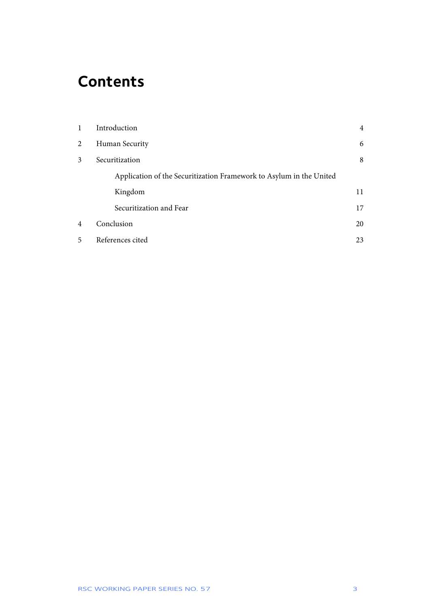# **Contents**

| 1 | Introduction                                                        | $\overline{4}$ |
|---|---------------------------------------------------------------------|----------------|
| 2 | Human Security                                                      | 6              |
| 3 | Securitization                                                      | 8              |
|   | Application of the Securitization Framework to Asylum in the United |                |
|   | Kingdom                                                             | 11             |
|   | Securitization and Fear                                             | 17             |
| 4 | Conclusion                                                          | 20             |
| 5 | References cited                                                    | 23             |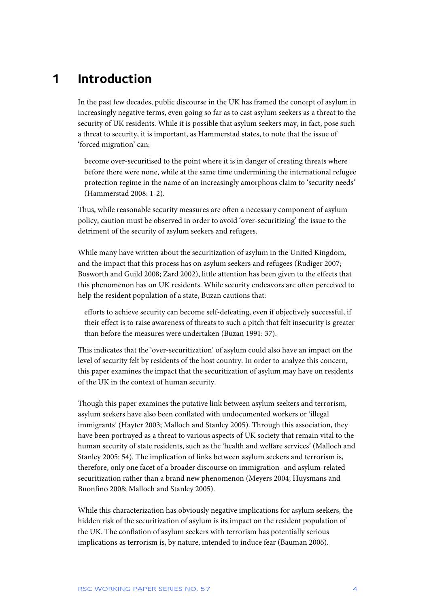## **1 Introduction**

In the past few decades, public discourse in the UK has framed the concept of asylum in increasingly negative terms, even going so far as to cast asylum seekers as a threat to the security of UK residents. While it is possible that asylum seekers may, in fact, pose such a threat to security, it is important, as Hammerstad states, to note that the issue of 'forced migration' can:

become over-securitised to the point where it is in danger of creating threats where before there were none, while at the same time undermining the international refugee protection regime in the name of an increasingly amorphous claim to 'security needs' (Hammerstad 2008: 1-2).

Thus, while reasonable security measures are often a necessary component of asylum policy, caution must be observed in order to avoid 'over-securitizing' the issue to the detriment of the security of asylum seekers and refugees.

While many have written about the securitization of asylum in the United Kingdom, and the impact that this process has on asylum seekers and refugees (Rudiger 2007; Bosworth and Guild 2008; Zard 2002), little attention has been given to the effects that this phenomenon has on UK residents. While security endeavors are often perceived to help the resident population of a state, Buzan cautions that:

efforts to achieve security can become self-defeating, even if objectively successful, if their effect is to raise awareness of threats to such a pitch that felt insecurity is greater than before the measures were undertaken (Buzan 1991: 37).

This indicates that the 'over-securitization' of asylum could also have an impact on the level of security felt by residents of the host country. In order to analyze this concern, this paper examines the impact that the securitization of asylum may have on residents of the UK in the context of human security.

Though this paper examines the putative link between asylum seekers and terrorism, asylum seekers have also been conflated with undocumented workers or 'illegal immigrants' (Hayter 2003; Malloch and Stanley 2005). Through this association, they have been portrayed as a threat to various aspects of UK society that remain vital to the human security of state residents, such as the 'health and welfare services' (Malloch and Stanley 2005: 54). The implication of links between asylum seekers and terrorism is, therefore, only one facet of a broader discourse on immigration- and asylum-related securitization rather than a brand new phenomenon (Meyers 2004; Huysmans and Buonfino 2008; Malloch and Stanley 2005).

While this characterization has obviously negative implications for asylum seekers, the hidden risk of the securitization of asylum is its impact on the resident population of the UK. The conflation of asylum seekers with terrorism has potentially serious implications as terrorism is, by nature, intended to induce fear (Bauman 2006).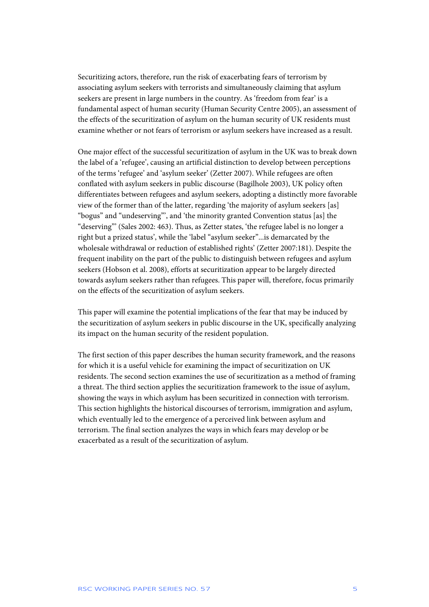Securitizing actors, therefore, run the risk of exacerbating fears of terrorism by associating asylum seekers with terrorists and simultaneously claiming that asylum seekers are present in large numbers in the country. As 'freedom from fear' is a fundamental aspect of human security (Human Security Centre 2005), an assessment of the effects of the securitization of asylum on the human security of UK residents must examine whether or not fears of terrorism or asylum seekers have increased as a result.

One major effect of the successful securitization of asylum in the UK was to break down the label of a 'refugee', causing an artificial distinction to develop between perceptions of the terms 'refugee' and 'asylum seeker' (Zetter 2007). While refugees are often conflated with asylum seekers in public discourse (Bagilhole 2003), UK policy often differentiates between refugees and asylum seekers, adopting a distinctly more favorable view of the former than of the latter, regarding 'the majority of asylum seekers [as] "bogus" and "undeserving"', and 'the minority granted Convention status [as] the "deserving"' (Sales 2002: 463). Thus, as Zetter states, 'the refugee label is no longer a right but a prized status', while the 'label "asylum seeker"...is demarcated by the wholesale withdrawal or reduction of established rights' (Zetter 2007:181). Despite the frequent inability on the part of the public to distinguish between refugees and asylum seekers (Hobson et al. 2008), efforts at securitization appear to be largely directed towards asylum seekers rather than refugees. This paper will, therefore, focus primarily on the effects of the securitization of asylum seekers.

This paper will examine the potential implications of the fear that may be induced by the securitization of asylum seekers in public discourse in the UK, specifically analyzing its impact on the human security of the resident population.

The first section of this paper describes the human security framework, and the reasons for which it is a useful vehicle for examining the impact of securitization on UK residents. The second section examines the use of securitization as a method of framing a threat. The third section applies the securitization framework to the issue of asylum, showing the ways in which asylum has been securitized in connection with terrorism. This section highlights the historical discourses of terrorism, immigration and asylum, which eventually led to the emergence of a perceived link between asylum and terrorism. The final section analyzes the ways in which fears may develop or be exacerbated as a result of the securitization of asylum.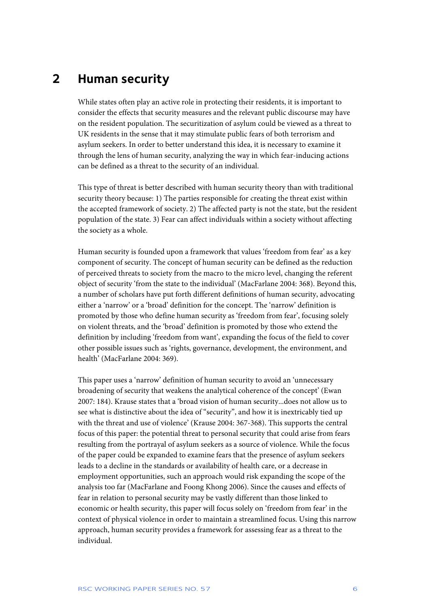# **2 Human security**

While states often play an active role in protecting their residents, it is important to consider the effects that security measures and the relevant public discourse may have on the resident population. The securitization of asylum could be viewed as a threat to UK residents in the sense that it may stimulate public fears of both terrorism and asylum seekers. In order to better understand this idea, it is necessary to examine it through the lens of human security, analyzing the way in which fear-inducing actions can be defined as a threat to the security of an individual.

This type of threat is better described with human security theory than with traditional security theory because: 1) The parties responsible for creating the threat exist within the accepted framework of society. 2) The affected party is not the state, but the resident population of the state. 3) Fear can affect individuals within a society without affecting the society as a whole.

Human security is founded upon a framework that values 'freedom from fear' as a key component of security. The concept of human security can be defined as the reduction of perceived threats to society from the macro to the micro level, changing the referent object of security 'from the state to the individual' (MacFarlane 2004: 368). Beyond this, a number of scholars have put forth different definitions of human security, advocating either a 'narrow' or a 'broad' definition for the concept. The 'narrow' definition is promoted by those who define human security as 'freedom from fear', focusing solely on violent threats, and the 'broad' definition is promoted by those who extend the definition by including 'freedom from want', expanding the focus of the field to cover other possible issues such as 'rights, governance, development, the environment, and health' (MacFarlane 2004: 369).

This paper uses a 'narrow' definition of human security to avoid an 'unnecessary broadening of security that weakens the analytical coherence of the concept' (Ewan 2007: 184). Krause states that a 'broad vision of human security...does not allow us to see what is distinctive about the idea of "security", and how it is inextricably tied up with the threat and use of violence' (Krause 2004: 367-368). This supports the central focus of this paper: the potential threat to personal security that could arise from fears resulting from the portrayal of asylum seekers as a source of violence. While the focus of the paper could be expanded to examine fears that the presence of asylum seekers leads to a decline in the standards or availability of health care, or a decrease in employment opportunities, such an approach would risk expanding the scope of the analysis too far (MacFarlane and Foong Khong 2006). Since the causes and effects of fear in relation to personal security may be vastly different than those linked to economic or health security, this paper will focus solely on 'freedom from fear' in the context of physical violence in order to maintain a streamlined focus. Using this narrow approach, human security provides a framework for assessing fear as a threat to the individual.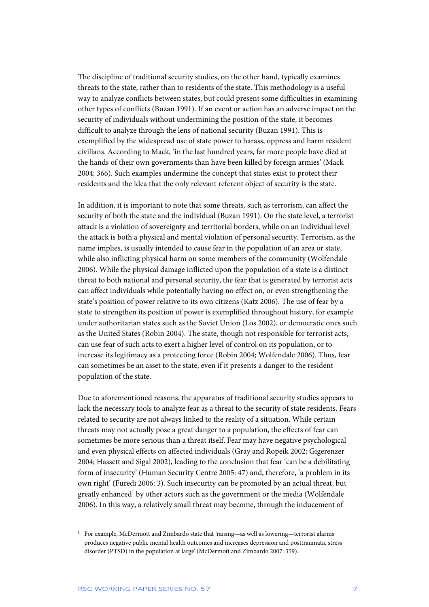The discipline of traditional security studies, on the other hand, typically examines threats to the state, rather than to residents of the state. This methodology is a useful way to analyze conflicts between states, but could present some difficulties in examining other types of conflicts (Buzan 1991). If an event or action has an adverse impact on the security of individuals without undermining the position of the state, it becomes difficult to analyze through the lens of national security (Buzan 1991). This is exemplified by the widespread use of state power to harass, oppress and harm resident civilians. According to Mack, 'in the last hundred years, far more people have died at the hands of their own governments than have been killed by foreign armies' (Mack 2004: 366). Such examples undermine the concept that states exist to protect their residents and the idea that the only relevant referent object of security is the state.

In addition, it is important to note that some threats, such as terrorism, can affect the security of both the state and the individual (Buzan 1991). On the state level, a terrorist attack is a violation of sovereignty and territorial borders, while on an individual level the attack is both a physical and mental violation of personal security. Terrorism, as the name implies, is usually intended to cause fear in the population of an area or state, while also inflicting physical harm on some members of the community (Wolfendale 2006). While the physical damage inflicted upon the population of a state is a distinct threat to both national and personal security, the fear that is generated by terrorist acts can affect individuals while potentially having no effect on, or even strengthening the state's position of power relative to its own citizens (Katz 2006). The use of fear by a state to strengthen its position of power is exemplified throughout history, for example under authoritarian states such as the Soviet Union (Los 2002), or democratic ones such as the United States (Robin 2004). The state, though not responsible for terrorist acts, can use fear of such acts to exert a higher level of control on its population, or to increase its legitimacy as a protecting force (Robin 2004; Wolfendale 2006). Thus, fear can sometimes be an asset to the state, even if it presents a danger to the resident population of the state.

Due to aforementioned reasons, the apparatus of traditional security studies appears to lack the necessary tools to analyze fear as a threat to the security of state residents. Fears related to security are not always linked to the reality of a situation. While certain threats may not actually pose a great danger to a population, the effects of fear can sometimes be more serious than a threat itself. Fear may have negative psychological and even physical effects on affected individuals (Gray and Ropeik 2002; Gigerenzer 2004; Hassett and Sigal 2002), leading to the conclusion that fear 'can be a debilitating form of insecurity' (Human Security Centre 2005: 47) and, therefore, 'a problem in its own right' (Furedi 2006: 3). Such insecurity can be promoted by an actual threat, but greatly enhanced<sup>1</sup> by other actors such as the government or the media (Wolfendale 2006). In this way, a relatively small threat may become, through the inducement of

<sup>1</sup> For example, McDermott and Zimbardo state that 'raising—as well as lowering—terrorist alarms produces negative public mental health outcomes and increases depression and posttraumatic stress disorder (PTSD) in the population at large' (McDermott and Zimbardo 2007: 359).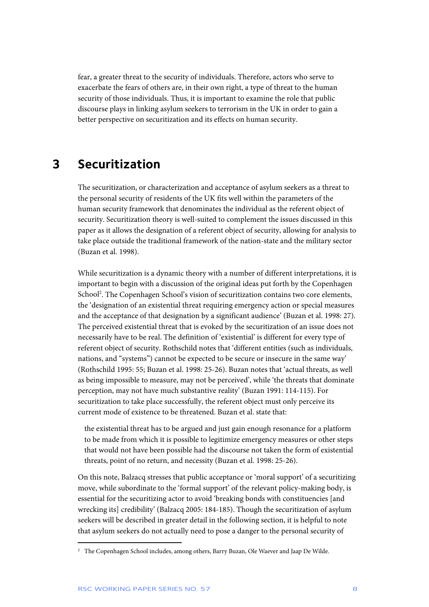fear, a greater threat to the security of individuals. Therefore, actors who serve to exacerbate the fears of others are, in their own right, a type of threat to the human security of those individuals. Thus, it is important to examine the role that public discourse plays in linking asylum seekers to terrorism in the UK in order to gain a better perspective on securitization and its effects on human security.

### **3 Securitization**

The securitization, or characterization and acceptance of asylum seekers as a threat to the personal security of residents of the UK fits well within the parameters of the human security framework that denominates the individual as the referent object of security. Securitization theory is well-suited to complement the issues discussed in this paper as it allows the designation of a referent object of security, allowing for analysis to take place outside the traditional framework of the nation-state and the military sector (Buzan et al. 1998).

While securitization is a dynamic theory with a number of different interpretations, it is important to begin with a discussion of the original ideas put forth by the Copenhagen School<sup>2</sup>. The Copenhagen School's vision of securitization contains two core elements, the 'designation of an existential threat requiring emergency action or special measures and the acceptance of that designation by a significant audience' (Buzan et al. 1998: 27). The perceived existential threat that is evoked by the securitization of an issue does not necessarily have to be real. The definition of 'existential' is different for every type of referent object of security. Rothschild notes that 'different entities (such as individuals, nations, and "systems") cannot be expected to be secure or insecure in the same way' (Rothschild 1995: 55; Buzan et al. 1998: 25-26). Buzan notes that 'actual threats, as well as being impossible to measure, may not be perceived', while 'the threats that dominate perception, may not have much substantive reality' (Buzan 1991: 114-115). For securitization to take place successfully, the referent object must only perceive its current mode of existence to be threatened. Buzan et al. state that:

the existential threat has to be argued and just gain enough resonance for a platform to be made from which it is possible to legitimize emergency measures or other steps that would not have been possible had the discourse not taken the form of existential threats, point of no return, and necessity (Buzan et al. 1998: 25-26).

On this note, Balzacq stresses that public acceptance or 'moral support' of a securitizing move, while subordinate to the 'formal support' of the relevant policy-making body, is essential for the securitizing actor to avoid 'breaking bonds with constituencies [and wrecking its] credibility' (Balzacq 2005: 184-185). Though the securitization of asylum seekers will be described in greater detail in the following section, it is helpful to note that asylum seekers do not actually need to pose a danger to the personal security of

<sup>2</sup> The Copenhagen School includes, among others, Barry Buzan, Ole Waever and Jaap De Wilde.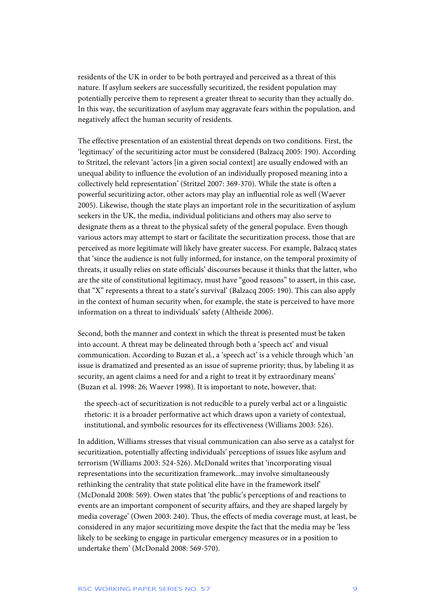residents of the UK in order to be both portrayed and perceived as a threat of this nature. If asylum seekers are successfully securitized, the resident population may potentially perceive them to represent a greater threat to security than they actually do. In this way, the securitization of asylum may aggravate fears within the population, and negatively affect the human security of residents.

The effective presentation of an existential threat depends on two conditions. First, the 'legitimacy' of the securitizing actor must be considered (Balzacq 2005: 190). According to Stritzel, the relevant 'actors [in a given social context] are usually endowed with an unequal ability to influence the evolution of an individually proposed meaning into a collectively held representation' (Stritzel 2007: 369-370). While the state is often a powerful securitizing actor, other actors may play an influential role as well (Waever 2005). Likewise, though the state plays an important role in the securitization of asylum seekers in the UK, the media, individual politicians and others may also serve to designate them as a threat to the physical safety of the general populace. Even though various actors may attempt to start or facilitate the securitization process, those that are perceived as more legitimate will likely have greater success. For example, Balzacq states that 'since the audience is not fully informed, for instance, on the temporal proximity of threats, it usually relies on state officials' discourses because it thinks that the latter, who are the site of constitutional legitimacy, must have "good reasons" to assert, in this case, that "X" represents a threat to a state's survival' (Balzacq 2005: 190). This can also apply in the context of human security when, for example, the state is perceived to have more information on a threat to individuals' safety (Altheide 2006).

Second, both the manner and context in which the threat is presented must be taken into account. A threat may be delineated through both a 'speech act' and visual communication. According to Buzan et al., a 'speech act' is a vehicle through which 'an issue is dramatized and presented as an issue of supreme priority; thus, by labeling it as security, an agent claims a need for and a right to treat it by extraordinary means' (Buzan et al. 1998: 26; Waever 1998). It is important to note, however, that:

the speech-act of securitization is not reducible to a purely verbal act or a linguistic rhetoric: it is a broader performative act which draws upon a variety of contextual, institutional, and symbolic resources for its effectiveness (Williams 2003: 526).

In addition, Williams stresses that visual communication can also serve as a catalyst for securitization, potentially affecting individuals' perceptions of issues like asylum and terrorism (Williams 2003: 524-526). McDonald writes that 'incorporating visual representations into the securitization framework...may involve simultaneously rethinking the centrality that state political elite have in the framework itself' (McDonald 2008: 569). Owen states that 'the public's perceptions of and reactions to events are an important component of security affairs, and they are shaped largely by media coverage' (Owen 2003: 240). Thus, the effects of media coverage must, at least, be considered in any major securitizing move despite the fact that the media may be 'less likely to be seeking to engage in particular emergency measures or in a position to undertake them' (McDonald 2008: 569-570).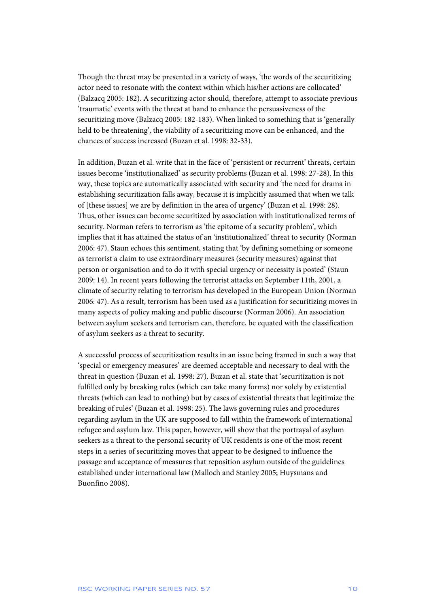Though the threat may be presented in a variety of ways, 'the words of the securitizing actor need to resonate with the context within which his/her actions are collocated' (Balzacq 2005: 182). A securitizing actor should, therefore, attempt to associate previous 'traumatic' events with the threat at hand to enhance the persuasiveness of the securitizing move (Balzacq 2005: 182-183). When linked to something that is 'generally held to be threatening', the viability of a securitizing move can be enhanced, and the chances of success increased (Buzan et al. 1998: 32-33).

In addition, Buzan et al. write that in the face of 'persistent or recurrent' threats, certain issues become 'institutionalized' as security problems (Buzan et al. 1998: 27-28). In this way, these topics are automatically associated with security and 'the need for drama in establishing securitization falls away, because it is implicitly assumed that when we talk of [these issues] we are by definition in the area of urgency' (Buzan et al. 1998: 28). Thus, other issues can become securitized by association with institutionalized terms of security. Norman refers to terrorism as 'the epitome of a security problem', which implies that it has attained the status of an 'institutionalized' threat to security (Norman 2006: 47). Staun echoes this sentiment, stating that 'by defining something or someone as terrorist a claim to use extraordinary measures (security measures) against that person or organisation and to do it with special urgency or necessity is posted' (Staun 2009: 14). In recent years following the terrorist attacks on September 11th, 2001, a climate of security relating to terrorism has developed in the European Union (Norman 2006: 47). As a result, terrorism has been used as a justification for securitizing moves in many aspects of policy making and public discourse (Norman 2006). An association between asylum seekers and terrorism can, therefore, be equated with the classification of asylum seekers as a threat to security.

A successful process of securitization results in an issue being framed in such a way that 'special or emergency measures' are deemed acceptable and necessary to deal with the threat in question (Buzan et al. 1998: 27). Buzan et al. state that 'securitization is not fulfilled only by breaking rules (which can take many forms) nor solely by existential threats (which can lead to nothing) but by cases of existential threats that legitimize the breaking of rules' (Buzan et al. 1998: 25). The laws governing rules and procedures regarding asylum in the UK are supposed to fall within the framework of international refugee and asylum law. This paper, however, will show that the portrayal of asylum seekers as a threat to the personal security of UK residents is one of the most recent steps in a series of securitizing moves that appear to be designed to influence the passage and acceptance of measures that reposition asylum outside of the guidelines established under international law (Malloch and Stanley 2005; Huysmans and Buonfino 2008).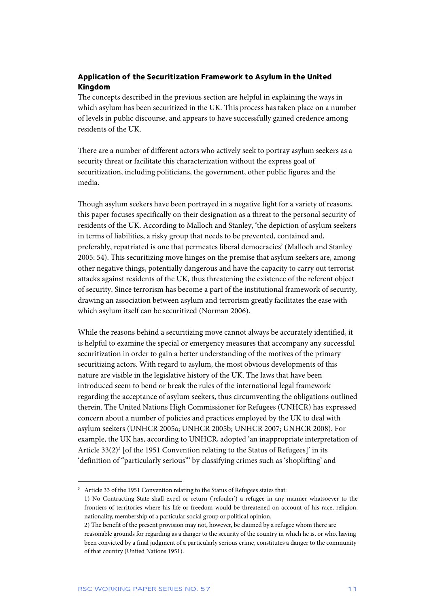### **Application of the Securitization Framework to Asylum in the United Kingdom**

The concepts described in the previous section are helpful in explaining the ways in which asylum has been securitized in the UK. This process has taken place on a number of levels in public discourse, and appears to have successfully gained credence among residents of the UK.

There are a number of different actors who actively seek to portray asylum seekers as a security threat or facilitate this characterization without the express goal of securitization, including politicians, the government, other public figures and the media.

Though asylum seekers have been portrayed in a negative light for a variety of reasons, this paper focuses specifically on their designation as a threat to the personal security of residents of the UK. According to Malloch and Stanley, 'the depiction of asylum seekers in terms of liabilities, a risky group that needs to be prevented, contained and, preferably, repatriated is one that permeates liberal democracies' (Malloch and Stanley 2005: 54). This securitizing move hinges on the premise that asylum seekers are, among other negative things, potentially dangerous and have the capacity to carry out terrorist attacks against residents of the UK, thus threatening the existence of the referent object of security. Since terrorism has become a part of the institutional framework of security, drawing an association between asylum and terrorism greatly facilitates the ease with which asylum itself can be securitized (Norman 2006).

While the reasons behind a securitizing move cannot always be accurately identified, it is helpful to examine the special or emergency measures that accompany any successful securitization in order to gain a better understanding of the motives of the primary securitizing actors. With regard to asylum, the most obvious developments of this nature are visible in the legislative history of the UK. The laws that have been introduced seem to bend or break the rules of the international legal framework regarding the acceptance of asylum seekers, thus circumventing the obligations outlined therein. The United Nations High Commissioner for Refugees (UNHCR) has expressed concern about a number of policies and practices employed by the UK to deal with asylum seekers (UNHCR 2005a; UNHCR 2005b; UNHCR 2007; UNHCR 2008). For example, the UK has, according to UNHCR, adopted 'an inappropriate interpretation of Article  $33(2)^3$  [of the 1951 Convention relating to the Status of Refugees]' in its 'definition of "particularly serious"' by classifying crimes such as 'shoplifting' and

<sup>&</sup>lt;sup>3</sup> Article 33 of the 1951 Convention relating to the Status of Refugees states that:

 <sup>1)</sup> No Contracting State shall expel or return ('refouler') a refugee in any manner whatsoever to the frontiers of territories where his life or freedom would be threatened on account of his race, religion, nationality, membership of a particular social group or political opinion.

 <sup>2)</sup> The benefit of the present provision may not, however, be claimed by a refugee whom there are reasonable grounds for regarding as a danger to the security of the country in which he is, or who, having been convicted by a final judgment of a particularly serious crime, constitutes a danger to the community of that country (United Nations 1951).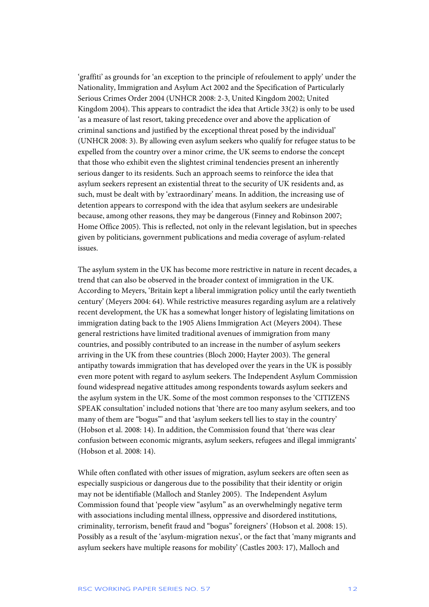'graffiti' as grounds for 'an exception to the principle of refoulement to apply' under the Nationality, Immigration and Asylum Act 2002 and the Specification of Particularly Serious Crimes Order 2004 (UNHCR 2008: 2-3, United Kingdom 2002; United Kingdom 2004). This appears to contradict the idea that Article 33(2) is only to be used 'as a measure of last resort, taking precedence over and above the application of criminal sanctions and justified by the exceptional threat posed by the individual' (UNHCR 2008: 3). By allowing even asylum seekers who qualify for refugee status to be expelled from the country over a minor crime, the UK seems to endorse the concept that those who exhibit even the slightest criminal tendencies present an inherently serious danger to its residents. Such an approach seems to reinforce the idea that asylum seekers represent an existential threat to the security of UK residents and, as such, must be dealt with by 'extraordinary' means. In addition, the increasing use of detention appears to correspond with the idea that asylum seekers are undesirable because, among other reasons, they may be dangerous (Finney and Robinson 2007; Home Office 2005). This is reflected, not only in the relevant legislation, but in speeches given by politicians, government publications and media coverage of asylum-related issues.

The asylum system in the UK has become more restrictive in nature in recent decades, a trend that can also be observed in the broader context of immigration in the UK. According to Meyers, 'Britain kept a liberal immigration policy until the early twentieth century' (Meyers 2004: 64). While restrictive measures regarding asylum are a relatively recent development, the UK has a somewhat longer history of legislating limitations on immigration dating back to the 1905 Aliens Immigration Act (Meyers 2004). These general restrictions have limited traditional avenues of immigration from many countries, and possibly contributed to an increase in the number of asylum seekers arriving in the UK from these countries (Bloch 2000; Hayter 2003). The general antipathy towards immigration that has developed over the years in the UK is possibly even more potent with regard to asylum seekers. The Independent Asylum Commission found widespread negative attitudes among respondents towards asylum seekers and the asylum system in the UK. Some of the most common responses to the 'CITIZENS SPEAK consultation' included notions that 'there are too many asylum seekers, and too many of them are "bogus"' and that 'asylum seekers tell lies to stay in the country' (Hobson et al. 2008: 14). In addition, the Commission found that 'there was clear confusion between economic migrants, asylum seekers, refugees and illegal immigrants' (Hobson et al. 2008: 14).

While often conflated with other issues of migration, asylum seekers are often seen as especially suspicious or dangerous due to the possibility that their identity or origin may not be identifiable (Malloch and Stanley 2005). The Independent Asylum Commission found that 'people view "asylum" as an overwhelmingly negative term with associations including mental illness, oppressive and disordered institutions, criminality, terrorism, benefit fraud and "bogus" foreigners' (Hobson et al. 2008: 15). Possibly as a result of the 'asylum-migration nexus', or the fact that 'many migrants and asylum seekers have multiple reasons for mobility' (Castles 2003: 17), Malloch and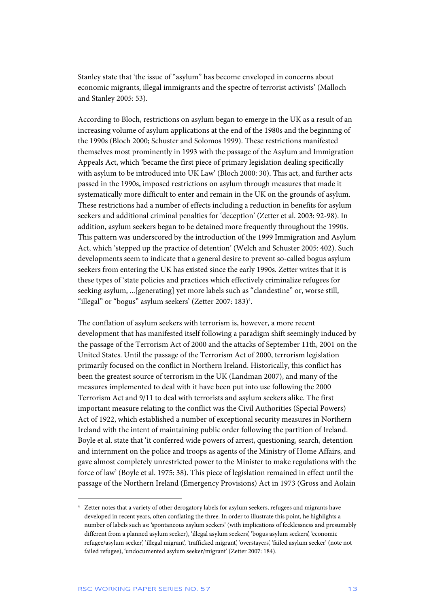Stanley state that 'the issue of "asylum" has become enveloped in concerns about economic migrants, illegal immigrants and the spectre of terrorist activists' (Malloch and Stanley 2005: 53).

According to Bloch, restrictions on asylum began to emerge in the UK as a result of an increasing volume of asylum applications at the end of the 1980s and the beginning of the 1990s (Bloch 2000; Schuster and Solomos 1999). These restrictions manifested themselves most prominently in 1993 with the passage of the Asylum and Immigration Appeals Act, which 'became the first piece of primary legislation dealing specifically with asylum to be introduced into UK Law' (Bloch 2000: 30). This act, and further acts passed in the 1990s, imposed restrictions on asylum through measures that made it systematically more difficult to enter and remain in the UK on the grounds of asylum. These restrictions had a number of effects including a reduction in benefits for asylum seekers and additional criminal penalties for 'deception' (Zetter et al. 2003: 92-98). In addition, asylum seekers began to be detained more frequently throughout the 1990s. This pattern was underscored by the introduction of the 1999 Immigration and Asylum Act, which 'stepped up the practice of detention' (Welch and Schuster 2005: 402). Such developments seem to indicate that a general desire to prevent so-called bogus asylum seekers from entering the UK has existed since the early 1990s. Zetter writes that it is these types of 'state policies and practices which effectively criminalize refugees for seeking asylum, ...[generating] yet more labels such as "clandestine" or, worse still, "illegal" or "bogus" asylum seekers' (Zetter 2007: 183)<sup>4</sup>.

The conflation of asylum seekers with terrorism is, however, a more recent development that has manifested itself following a paradigm shift seemingly induced by the passage of the Terrorism Act of 2000 and the attacks of September 11th, 2001 on the United States. Until the passage of the Terrorism Act of 2000, terrorism legislation primarily focused on the conflict in Northern Ireland. Historically, this conflict has been the greatest source of terrorism in the UK (Landman 2007), and many of the measures implemented to deal with it have been put into use following the 2000 Terrorism Act and 9/11 to deal with terrorists and asylum seekers alike. The first important measure relating to the conflict was the Civil Authorities (Special Powers) Act of 1922, which established a number of exceptional security measures in Northern Ireland with the intent of maintaining public order following the partition of Ireland. Boyle et al. state that 'it conferred wide powers of arrest, questioning, search, detention and internment on the police and troops as agents of the Ministry of Home Affairs, and gave almost completely unrestricted power to the Minister to make regulations with the force of law' (Boyle et al. 1975: 38). This piece of legislation remained in effect until the passage of the Northern Ireland (Emergency Provisions) Act in 1973 (Gross and Aolain

<sup>4</sup> Zetter notes that a variety of other derogatory labels for asylum seekers, refugees and migrants have developed in recent years, often conflating the three. In order to illustrate this point, he highlights a number of labels such as: 'spontaneous asylum seekers' (with implications of fecklessness and presumably different from a planned asylum seeker), 'illegal asylum seekers', 'bogus asylum seekers', 'economic refugee/asylum seeker', 'illegal migrant', 'trafficked migrant', 'overstayers', 'failed asylum seeker' (note not failed refugee), 'undocumented asylum seeker/migrant' (Zetter 2007: 184).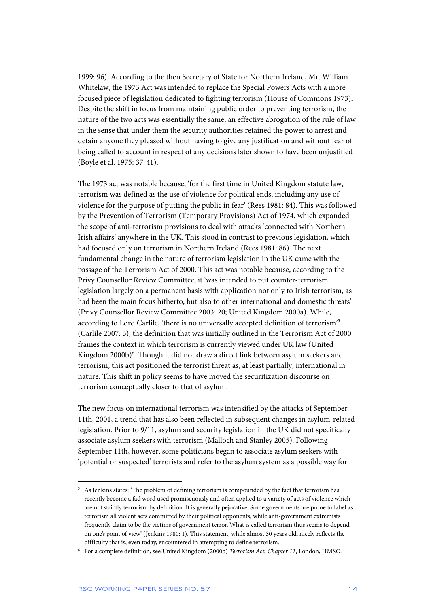1999: 96). According to the then Secretary of State for Northern Ireland, Mr. William Whitelaw, the 1973 Act was intended to replace the Special Powers Acts with a more focused piece of legislation dedicated to fighting terrorism (House of Commons 1973). Despite the shift in focus from maintaining public order to preventing terrorism, the nature of the two acts was essentially the same, an effective abrogation of the rule of law in the sense that under them the security authorities retained the power to arrest and detain anyone they pleased without having to give any justification and without fear of being called to account in respect of any decisions later shown to have been unjustified (Boyle et al. 1975: 37-41).

The 1973 act was notable because, 'for the first time in United Kingdom statute law, terrorism was defined as the use of violence for political ends, including any use of violence for the purpose of putting the public in fear' (Rees 1981: 84). This was followed by the Prevention of Terrorism (Temporary Provisions) Act of 1974, which expanded the scope of anti-terrorism provisions to deal with attacks 'connected with Northern Irish affairs' anywhere in the UK. This stood in contrast to previous legislation, which had focused only on terrorism in Northern Ireland (Rees 1981: 86). The next fundamental change in the nature of terrorism legislation in the UK came with the passage of the Terrorism Act of 2000. This act was notable because, according to the Privy Counsellor Review Committee, it 'was intended to put counter-terrorism legislation largely on a permanent basis with application not only to Irish terrorism, as had been the main focus hitherto, but also to other international and domestic threats' (Privy Counsellor Review Committee 2003: 20; United Kingdom 2000a). While, according to Lord Carlile, 'there is no universally accepted definition of terrorism'5 (Carlile 2007: 3), the definition that was initially outlined in the Terrorism Act of 2000 frames the context in which terrorism is currently viewed under UK law (United Kingdom 2000b)<sup>6</sup>. Though it did not draw a direct link between asylum seekers and terrorism, this act positioned the terrorist threat as, at least partially, international in nature. This shift in policy seems to have moved the securitization discourse on terrorism conceptually closer to that of asylum.

The new focus on international terrorism was intensified by the attacks of September 11th, 2001, a trend that has also been reflected in subsequent changes in asylum-related legislation. Prior to 9/11, asylum and security legislation in the UK did not specifically associate asylum seekers with terrorism (Malloch and Stanley 2005). Following September 11th, however, some politicians began to associate asylum seekers with 'potential or suspected' terrorists and refer to the asylum system as a possible way for

<sup>5</sup> As Jenkins states: 'The problem of defining terrorism is compounded by the fact that terrorism has recently become a fad word used promiscuously and often applied to a variety of acts of violence which are not strictly terrorism by definition. It is generally pejorative. Some governments are prone to label as terrorism all violent acts committed by their political opponents, while anti-government extremists frequently claim to be the victims of government terror. What is called terrorism thus seems to depend on one's point of view' (Jenkins 1980: 1). This statement, while almost 30 years old, nicely reflects the difficulty that is, even today, encountered in attempting to define terrorism.

<sup>6</sup> For a complete definition, see United Kingdom (2000b) *Terrorism Act, Chapter 11*, London, HMSO.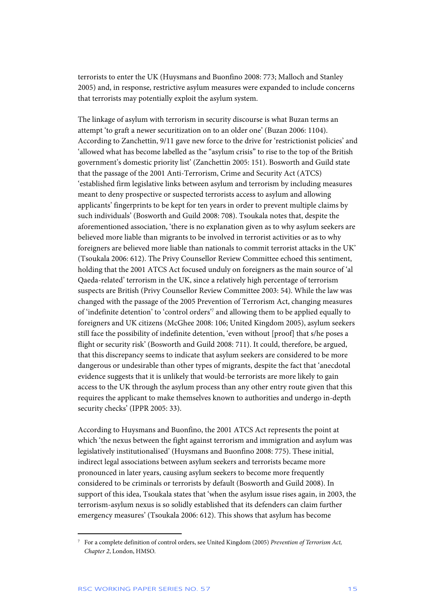terrorists to enter the UK (Huysmans and Buonfino 2008: 773; Malloch and Stanley 2005) and, in response, restrictive asylum measures were expanded to include concerns that terrorists may potentially exploit the asylum system.

The linkage of asylum with terrorism in security discourse is what Buzan terms an attempt 'to graft a newer securitization on to an older one' (Buzan 2006: 1104). According to Zanchettin, 9/11 gave new force to the drive for 'restrictionist policies' and 'allowed what has become labelled as the "asylum crisis" to rise to the top of the British government's domestic priority list' (Zanchettin 2005: 151). Bosworth and Guild state that the passage of the 2001 Anti-Terrorism, Crime and Security Act (ATCS) 'established firm legislative links between asylum and terrorism by including measures meant to deny prospective or suspected terrorists access to asylum and allowing applicants' fingerprints to be kept for ten years in order to prevent multiple claims by such individuals' (Bosworth and Guild 2008: 708). Tsoukala notes that, despite the aforementioned association, 'there is no explanation given as to why asylum seekers are believed more liable than migrants to be involved in terrorist activities or as to why foreigners are believed more liable than nationals to commit terrorist attacks in the UK' (Tsoukala 2006: 612). The Privy Counsellor Review Committee echoed this sentiment, holding that the 2001 ATCS Act focused unduly on foreigners as the main source of 'al Qaeda-related' terrorism in the UK, since a relatively high percentage of terrorism suspects are British (Privy Counsellor Review Committee 2003: 54). While the law was changed with the passage of the 2005 Prevention of Terrorism Act, changing measures of 'indefinite detention' to 'control orders'7 and allowing them to be applied equally to foreigners and UK citizens (McGhee 2008: 106; United Kingdom 2005), asylum seekers still face the possibility of indefinite detention, 'even without [proof] that s/he poses a flight or security risk' (Bosworth and Guild 2008: 711). It could, therefore, be argued, that this discrepancy seems to indicate that asylum seekers are considered to be more dangerous or undesirable than other types of migrants, despite the fact that 'anecdotal evidence suggests that it is unlikely that would-be terrorists are more likely to gain access to the UK through the asylum process than any other entry route given that this requires the applicant to make themselves known to authorities and undergo in-depth security checks' (IPPR 2005: 33).

According to Huysmans and Buonfino, the 2001 ATCS Act represents the point at which 'the nexus between the fight against terrorism and immigration and asylum was legislatively institutionalised' (Huysmans and Buonfino 2008: 775). These initial, indirect legal associations between asylum seekers and terrorists became more pronounced in later years, causing asylum seekers to become more frequently considered to be criminals or terrorists by default (Bosworth and Guild 2008). In support of this idea, Tsoukala states that 'when the asylum issue rises again, in 2003, the terrorism-asylum nexus is so solidly established that its defenders can claim further emergency measures' (Tsoukala 2006: 612). This shows that asylum has become

<sup>7</sup> For a complete definition of control orders, see United Kingdom (2005) *Prevention of Terrorism Act, Chapter 2*, London, HMSO.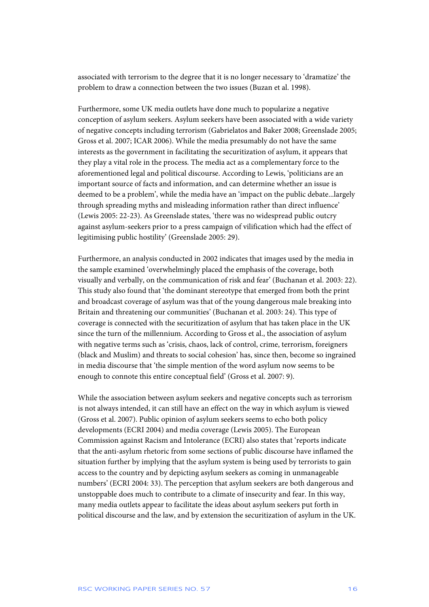associated with terrorism to the degree that it is no longer necessary to 'dramatize' the problem to draw a connection between the two issues (Buzan et al. 1998).

Furthermore, some UK media outlets have done much to popularize a negative conception of asylum seekers. Asylum seekers have been associated with a wide variety of negative concepts including terrorism (Gabrielatos and Baker 2008; Greenslade 2005; Gross et al. 2007; ICAR 2006). While the media presumably do not have the same interests as the government in facilitating the securitization of asylum, it appears that they play a vital role in the process. The media act as a complementary force to the aforementioned legal and political discourse. According to Lewis, 'politicians are an important source of facts and information, and can determine whether an issue is deemed to be a problem', while the media have an 'impact on the public debate...largely through spreading myths and misleading information rather than direct influence' (Lewis 2005: 22-23). As Greenslade states, 'there was no widespread public outcry against asylum-seekers prior to a press campaign of vilification which had the effect of legitimising public hostility' (Greenslade 2005: 29).

Furthermore, an analysis conducted in 2002 indicates that images used by the media in the sample examined 'overwhelmingly placed the emphasis of the coverage, both visually and verbally, on the communication of risk and fear' (Buchanan et al. 2003: 22). This study also found that 'the dominant stereotype that emerged from both the print and broadcast coverage of asylum was that of the young dangerous male breaking into Britain and threatening our communities' (Buchanan et al. 2003: 24). This type of coverage is connected with the securitization of asylum that has taken place in the UK since the turn of the millennium. According to Gross et al., the association of asylum with negative terms such as 'crisis, chaos, lack of control, crime, terrorism, foreigners (black and Muslim) and threats to social cohesion' has, since then, become so ingrained in media discourse that 'the simple mention of the word asylum now seems to be enough to connote this entire conceptual field' (Gross et al. 2007: 9).

While the association between asylum seekers and negative concepts such as terrorism is not always intended, it can still have an effect on the way in which asylum is viewed (Gross et al. 2007). Public opinion of asylum seekers seems to echo both policy developments (ECRI 2004) and media coverage (Lewis 2005). The European Commission against Racism and Intolerance (ECRI) also states that 'reports indicate that the anti-asylum rhetoric from some sections of public discourse have inflamed the situation further by implying that the asylum system is being used by terrorists to gain access to the country and by depicting asylum seekers as coming in unmanageable numbers' (ECRI 2004: 33). The perception that asylum seekers are both dangerous and unstoppable does much to contribute to a climate of insecurity and fear. In this way, many media outlets appear to facilitate the ideas about asylum seekers put forth in political discourse and the law, and by extension the securitization of asylum in the UK.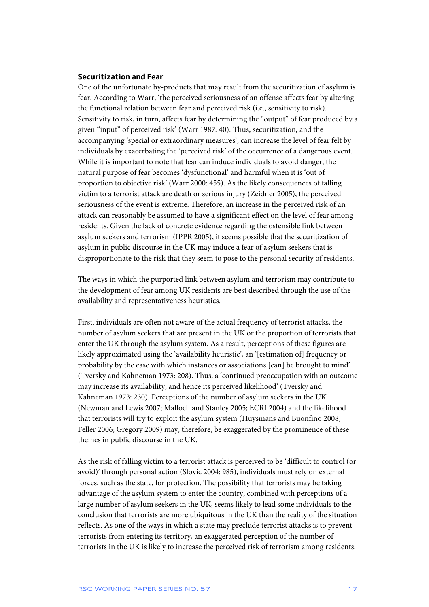#### **Securitization and Fear**

One of the unfortunate by-products that may result from the securitization of asylum is fear. According to Warr, 'the perceived seriousness of an offense affects fear by altering the functional relation between fear and perceived risk (i.e., sensitivity to risk). Sensitivity to risk, in turn, affects fear by determining the "output" of fear produced by a given "input" of perceived risk' (Warr 1987: 40). Thus, securitization, and the accompanying 'special or extraordinary measures', can increase the level of fear felt by individuals by exacerbating the 'perceived risk' of the occurrence of a dangerous event. While it is important to note that fear can induce individuals to avoid danger, the natural purpose of fear becomes 'dysfunctional' and harmful when it is 'out of proportion to objective risk' (Warr 2000: 455). As the likely consequences of falling victim to a terrorist attack are death or serious injury (Zeidner 2005), the perceived seriousness of the event is extreme. Therefore, an increase in the perceived risk of an attack can reasonably be assumed to have a significant effect on the level of fear among residents. Given the lack of concrete evidence regarding the ostensible link between asylum seekers and terrorism (IPPR 2005), it seems possible that the securitization of asylum in public discourse in the UK may induce a fear of asylum seekers that is disproportionate to the risk that they seem to pose to the personal security of residents.

The ways in which the purported link between asylum and terrorism may contribute to the development of fear among UK residents are best described through the use of the availability and representativeness heuristics.

First, individuals are often not aware of the actual frequency of terrorist attacks, the number of asylum seekers that are present in the UK or the proportion of terrorists that enter the UK through the asylum system. As a result, perceptions of these figures are likely approximated using the 'availability heuristic', an '[estimation of] frequency or probability by the ease with which instances or associations [can] be brought to mind' (Tversky and Kahneman 1973: 208). Thus, a 'continued preoccupation with an outcome may increase its availability, and hence its perceived likelihood' (Tversky and Kahneman 1973: 230). Perceptions of the number of asylum seekers in the UK (Newman and Lewis 2007; Malloch and Stanley 2005; ECRI 2004) and the likelihood that terrorists will try to exploit the asylum system (Huysmans and Buonfino 2008; Feller 2006; Gregory 2009) may, therefore, be exaggerated by the prominence of these themes in public discourse in the UK.

As the risk of falling victim to a terrorist attack is perceived to be 'difficult to control (or avoid)' through personal action (Slovic 2004: 985), individuals must rely on external forces, such as the state, for protection. The possibility that terrorists may be taking advantage of the asylum system to enter the country, combined with perceptions of a large number of asylum seekers in the UK, seems likely to lead some individuals to the conclusion that terrorists are more ubiquitous in the UK than the reality of the situation reflects. As one of the ways in which a state may preclude terrorist attacks is to prevent terrorists from entering its territory, an exaggerated perception of the number of terrorists in the UK is likely to increase the perceived risk of terrorism among residents.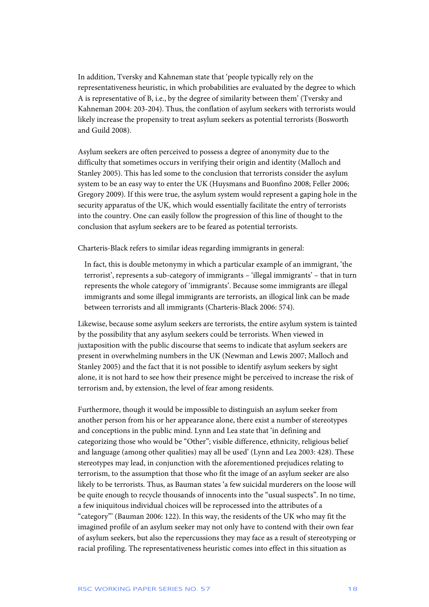In addition, Tversky and Kahneman state that 'people typically rely on the representativeness heuristic, in which probabilities are evaluated by the degree to which A is representative of B, i.e., by the degree of similarity between them' (Tversky and Kahneman 2004: 203-204). Thus, the conflation of asylum seekers with terrorists would likely increase the propensity to treat asylum seekers as potential terrorists (Bosworth and Guild 2008).

Asylum seekers are often perceived to possess a degree of anonymity due to the difficulty that sometimes occurs in verifying their origin and identity (Malloch and Stanley 2005). This has led some to the conclusion that terrorists consider the asylum system to be an easy way to enter the UK (Huysmans and Buonfino 2008; Feller 2006; Gregory 2009). If this were true, the asylum system would represent a gaping hole in the security apparatus of the UK, which would essentially facilitate the entry of terrorists into the country. One can easily follow the progression of this line of thought to the conclusion that asylum seekers are to be feared as potential terrorists.

Charteris-Black refers to similar ideas regarding immigrants in general:

In fact, this is double metonymy in which a particular example of an immigrant, 'the terrorist', represents a sub-category of immigrants – 'illegal immigrants' – that in turn represents the whole category of 'immigrants'. Because some immigrants are illegal immigrants and some illegal immigrants are terrorists, an illogical link can be made between terrorists and all immigrants (Charteris-Black 2006: 574).

Likewise, because some asylum seekers are terrorists, the entire asylum system is tainted by the possibility that any asylum seekers could be terrorists. When viewed in juxtaposition with the public discourse that seems to indicate that asylum seekers are present in overwhelming numbers in the UK (Newman and Lewis 2007; Malloch and Stanley 2005) and the fact that it is not possible to identify asylum seekers by sight alone, it is not hard to see how their presence might be perceived to increase the risk of terrorism and, by extension, the level of fear among residents.

Furthermore, though it would be impossible to distinguish an asylum seeker from another person from his or her appearance alone, there exist a number of stereotypes and conceptions in the public mind. Lynn and Lea state that 'in defining and categorizing those who would be "Other"; visible difference, ethnicity, religious belief and language (among other qualities) may all be used' (Lynn and Lea 2003: 428). These stereotypes may lead, in conjunction with the aforementioned prejudices relating to terrorism, to the assumption that those who fit the image of an asylum seeker are also likely to be terrorists. Thus, as Bauman states 'a few suicidal murderers on the loose will be quite enough to recycle thousands of innocents into the "usual suspects". In no time, a few iniquitous individual choices will be reprocessed into the attributes of a "category"' (Bauman 2006: 122). In this way, the residents of the UK who may fit the imagined profile of an asylum seeker may not only have to contend with their own fear of asylum seekers, but also the repercussions they may face as a result of stereotyping or racial profiling. The representativeness heuristic comes into effect in this situation as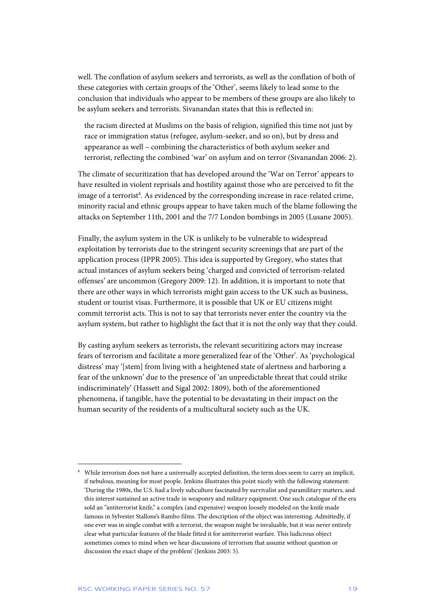well. The conflation of asylum seekers and terrorists, as well as the conflation of both of these categories with certain groups of the 'Other', seems likely to lead some to the conclusion that individuals who appear to be members of these groups are also likely to be asylum seekers and terrorists. Sivanandan states that this is reflected in:

the racism directed at Muslims on the basis of religion, signified this time not just by race or immigration status (refugee, asylum-seeker, and so on), but by dress and appearance as well – combining the characteristics of both asylum seeker and terrorist, reflecting the combined 'war' on asylum and on terror (Sivanandan 2006: 2).

The climate of securitization that has developed around the 'War on Terror' appears to have resulted in violent reprisals and hostility against those who are perceived to fit the image of a terrorist<sup>8</sup>. As evidenced by the corresponding increase in race-related crime, minority racial and ethnic groups appear to have taken much of the blame following the attacks on September 11th, 2001 and the 7/7 London bombings in 2005 (Lusane 2005).

Finally, the asylum system in the UK is unlikely to be vulnerable to widespread exploitation by terrorists due to the stringent security screenings that are part of the application process (IPPR 2005). This idea is supported by Gregory, who states that actual instances of asylum seekers being 'charged and convicted of terrorism-related offenses' are uncommon (Gregory 2009: 12). In addition, it is important to note that there are other ways in which terrorists might gain access to the UK such as business, student or tourist visas. Furthermore, it is possible that UK or EU citizens might commit terrorist acts. This is not to say that terrorists never enter the country via the asylum system, but rather to highlight the fact that it is not the only way that they could.

By casting asylum seekers as terrorists, the relevant securitizing actors may increase fears of terrorism and facilitate a more generalized fear of the 'Other'. As 'psychological distress' may '[stem] from living with a heightened state of alertness and harboring a fear of the unknown' due to the presence of 'an unpredictable threat that could strike indiscriminately' (Hassett and Sigal 2002: 1809), both of the aforementioned phenomena, if tangible, have the potential to be devastating in their impact on the human security of the residents of a multicultural society such as the UK.

j

<sup>8</sup> While terrorism does not have a universally accepted definition, the term does seem to carry an implicit, if nebulous, meaning for most people. Jenkins illustrates this point nicely with the following statement: 'During the 1980s, the U.S. had a lively subculture fascinated by survivalist and paramilitary matters, and this interest sustained an active trade in weaponry and military equipment. One such catalogue of the era sold an "antiterrorist knife," a complex (and expensive) weapon loosely modeled on the knife made famous in Sylvester Stallone's Rambo films. The description of the object was interesting. Admittedly, if one ever was in single combat with a terrorist, the weapon might be invaluable, but it was never entirely clear what particular features of the blade fitted it for antiterrorist warfare. This ludicrous object sometimes comes to mind when we hear discussions of terrorism that assume without question or discussion the exact shape of the problem' (Jenkins 2003: 5).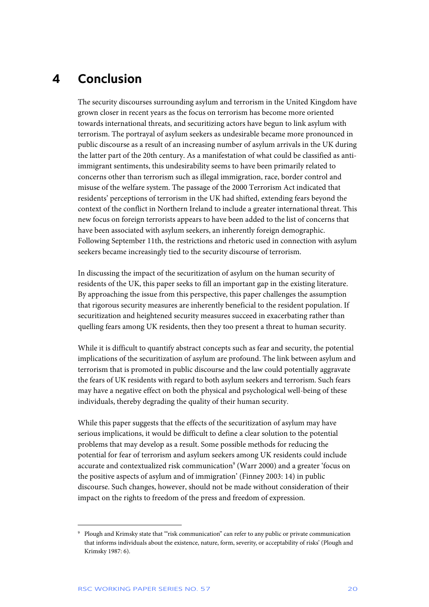# **4 Conclusion**

The security discourses surrounding asylum and terrorism in the United Kingdom have grown closer in recent years as the focus on terrorism has become more oriented towards international threats, and securitizing actors have begun to link asylum with terrorism. The portrayal of asylum seekers as undesirable became more pronounced in public discourse as a result of an increasing number of asylum arrivals in the UK during the latter part of the 20th century. As a manifestation of what could be classified as antiimmigrant sentiments, this undesirability seems to have been primarily related to concerns other than terrorism such as illegal immigration, race, border control and misuse of the welfare system. The passage of the 2000 Terrorism Act indicated that residents' perceptions of terrorism in the UK had shifted, extending fears beyond the context of the conflict in Northern Ireland to include a greater international threat. This new focus on foreign terrorists appears to have been added to the list of concerns that have been associated with asylum seekers, an inherently foreign demographic. Following September 11th, the restrictions and rhetoric used in connection with asylum seekers became increasingly tied to the security discourse of terrorism.

In discussing the impact of the securitization of asylum on the human security of residents of the UK, this paper seeks to fill an important gap in the existing literature. By approaching the issue from this perspective, this paper challenges the assumption that rigorous security measures are inherently beneficial to the resident population. If securitization and heightened security measures succeed in exacerbating rather than quelling fears among UK residents, then they too present a threat to human security.

While it is difficult to quantify abstract concepts such as fear and security, the potential implications of the securitization of asylum are profound. The link between asylum and terrorism that is promoted in public discourse and the law could potentially aggravate the fears of UK residents with regard to both asylum seekers and terrorism. Such fears may have a negative effect on both the physical and psychological well-being of these individuals, thereby degrading the quality of their human security.

While this paper suggests that the effects of the securitization of asylum may have serious implications, it would be difficult to define a clear solution to the potential problems that may develop as a result. Some possible methods for reducing the potential for fear of terrorism and asylum seekers among UK residents could include accurate and contextualized risk communication<sup>9</sup> (Warr 2000) and a greater 'focus on the positive aspects of asylum and of immigration' (Finney 2003: 14) in public discourse. Such changes, however, should not be made without consideration of their impact on the rights to freedom of the press and freedom of expression.

<sup>9</sup> Plough and Krimsky state that '"risk communication" can refer to any public or private communication that informs individuals about the existence, nature, form, severity, or acceptability of risks' (Plough and Krimsky 1987: 6).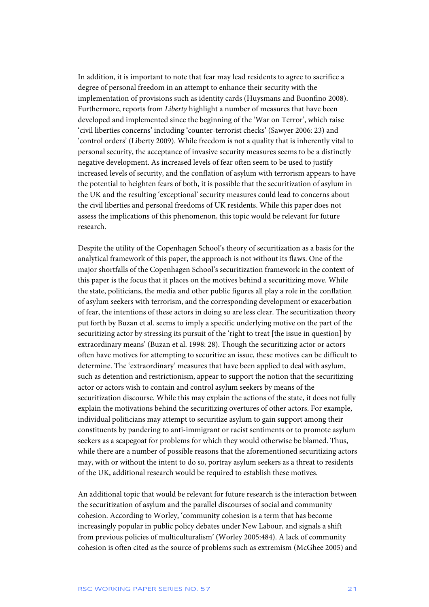In addition, it is important to note that fear may lead residents to agree to sacrifice a degree of personal freedom in an attempt to enhance their security with the implementation of provisions such as identity cards (Huysmans and Buonfino 2008). Furthermore, reports from *Liberty* highlight a number of measures that have been developed and implemented since the beginning of the 'War on Terror', which raise 'civil liberties concerns' including 'counter-terrorist checks' (Sawyer 2006: 23) and 'control orders' (Liberty 2009). While freedom is not a quality that is inherently vital to personal security, the acceptance of invasive security measures seems to be a distinctly negative development. As increased levels of fear often seem to be used to justify increased levels of security, and the conflation of asylum with terrorism appears to have the potential to heighten fears of both, it is possible that the securitization of asylum in the UK and the resulting 'exceptional' security measures could lead to concerns about the civil liberties and personal freedoms of UK residents. While this paper does not assess the implications of this phenomenon, this topic would be relevant for future research.

Despite the utility of the Copenhagen School's theory of securitization as a basis for the analytical framework of this paper, the approach is not without its flaws. One of the major shortfalls of the Copenhagen School's securitization framework in the context of this paper is the focus that it places on the motives behind a securitizing move. While the state, politicians, the media and other public figures all play a role in the conflation of asylum seekers with terrorism, and the corresponding development or exacerbation of fear, the intentions of these actors in doing so are less clear. The securitization theory put forth by Buzan et al. seems to imply a specific underlying motive on the part of the securitizing actor by stressing its pursuit of the 'right to treat [the issue in question] by extraordinary means' (Buzan et al. 1998: 28). Though the securitizing actor or actors often have motives for attempting to securitize an issue, these motives can be difficult to determine. The 'extraordinary' measures that have been applied to deal with asylum, such as detention and restrictionism, appear to support the notion that the securitizing actor or actors wish to contain and control asylum seekers by means of the securitization discourse. While this may explain the actions of the state, it does not fully explain the motivations behind the securitizing overtures of other actors. For example, individual politicians may attempt to securitize asylum to gain support among their constituents by pandering to anti-immigrant or racist sentiments or to promote asylum seekers as a scapegoat for problems for which they would otherwise be blamed. Thus, while there are a number of possible reasons that the aforementioned securitizing actors may, with or without the intent to do so, portray asylum seekers as a threat to residents of the UK, additional research would be required to establish these motives.

An additional topic that would be relevant for future research is the interaction between the securitization of asylum and the parallel discourses of social and community cohesion. According to Worley, 'community cohesion is a term that has become increasingly popular in public policy debates under New Labour, and signals a shift from previous policies of multiculturalism' (Worley 2005:484). A lack of community cohesion is often cited as the source of problems such as extremism (McGhee 2005) and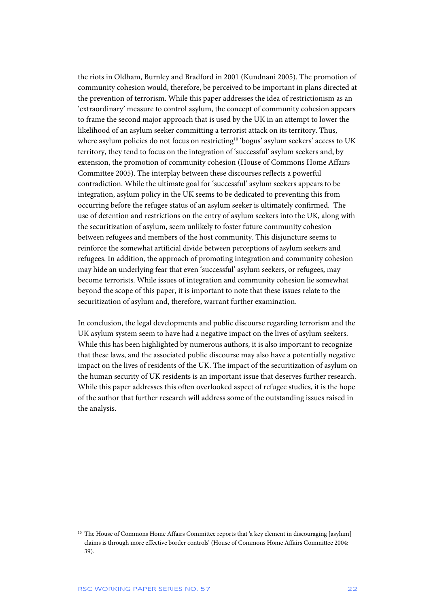the riots in Oldham, Burnley and Bradford in 2001 (Kundnani 2005). The promotion of community cohesion would, therefore, be perceived to be important in plans directed at the prevention of terrorism. While this paper addresses the idea of restrictionism as an 'extraordinary' measure to control asylum, the concept of community cohesion appears to frame the second major approach that is used by the UK in an attempt to lower the likelihood of an asylum seeker committing a terrorist attack on its territory. Thus, where asylum policies do not focus on restricting<sup>10</sup> 'bogus' asylum seekers' access to UK territory, they tend to focus on the integration of 'successful' asylum seekers and, by extension, the promotion of community cohesion (House of Commons Home Affairs Committee 2005). The interplay between these discourses reflects a powerful contradiction. While the ultimate goal for 'successful' asylum seekers appears to be integration, asylum policy in the UK seems to be dedicated to preventing this from occurring before the refugee status of an asylum seeker is ultimately confirmed. The use of detention and restrictions on the entry of asylum seekers into the UK, along with the securitization of asylum, seem unlikely to foster future community cohesion between refugees and members of the host community. This disjuncture seems to reinforce the somewhat artificial divide between perceptions of asylum seekers and refugees. In addition, the approach of promoting integration and community cohesion may hide an underlying fear that even 'successful' asylum seekers, or refugees, may become terrorists. While issues of integration and community cohesion lie somewhat beyond the scope of this paper, it is important to note that these issues relate to the securitization of asylum and, therefore, warrant further examination.

In conclusion, the legal developments and public discourse regarding terrorism and the UK asylum system seem to have had a negative impact on the lives of asylum seekers. While this has been highlighted by numerous authors, it is also important to recognize that these laws, and the associated public discourse may also have a potentially negative impact on the lives of residents of the UK. The impact of the securitization of asylum on the human security of UK residents is an important issue that deserves further research. While this paper addresses this often overlooked aspect of refugee studies, it is the hope of the author that further research will address some of the outstanding issues raised in the analysis.

<sup>&</sup>lt;sup>10</sup> The House of Commons Home Affairs Committee reports that 'a key element in discouraging [asylum] claims is through more effective border controls' (House of Commons Home Affairs Committee 2004: 39).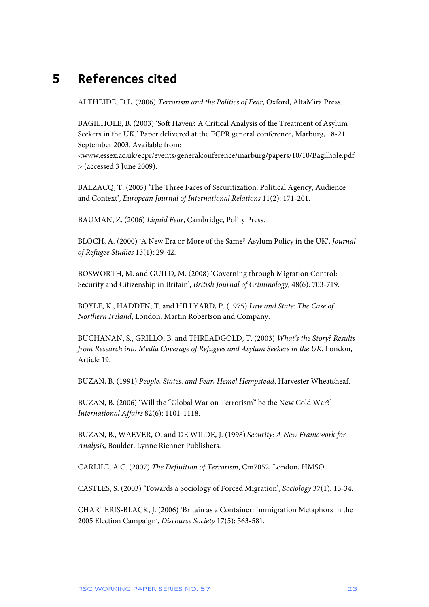# **5 References cited**

ALTHEIDE, D.L. (2006) *Terrorism and the Politics of Fear*, Oxford, AltaMira Press.

BAGILHOLE, B. (2003) 'Soft Haven? A Critical Analysis of the Treatment of Asylum Seekers in the UK.' Paper delivered at the ECPR general conference, Marburg, 18-21 September 2003. Available from:

<www.essex.ac.uk/ecpr/events/generalconference/marburg/papers/10/10/Bagilhole.pdf > (accessed 3 June 2009).

BALZACQ, T. (2005) 'The Three Faces of Securitization: Political Agency, Audience and Context', *European Journal of International Relations* 11(2): 171-201.

BAUMAN, Z. (2006) *Liquid Fear*, Cambridge, Polity Press.

BLOCH, A. (2000) 'A New Era or More of the Same? Asylum Policy in the UK', *Journal of Refugee Studies* 13(1): 29-42.

BOSWORTH, M. and GUILD, M. (2008) 'Governing through Migration Control: Security and Citizenship in Britain', *British Journal of Criminology*, 48(6): 703-719.

BOYLE, K., HADDEN, T. and HILLYARD, P. (1975) *Law and State: The Case of Northern Ireland*, London, Martin Robertson and Company.

BUCHANAN, S., GRILLO, B. and THREADGOLD, T. (2003) *What's the Story? Results from Research into Media Coverage of Refugees and Asylum Seekers in the UK*, London, Article 19.

BUZAN, B. (1991) *People, States, and Fear, Hemel Hempstead*, Harvester Wheatsheaf.

BUZAN, B. (2006) 'Will the "Global War on Terrorism" be the New Cold War?' *International Affairs* 82(6): 1101-1118.

BUZAN, B., WAEVER, O. and DE WILDE, J. (1998) *Security: A New Framework for Analysis*, Boulder, Lynne Rienner Publishers.

CARLILE, A.C. (2007) *The Definition of Terrorism*, Cm7052, London, HMSO.

CASTLES, S. (2003) 'Towards a Sociology of Forced Migration', *Sociology* 37(1): 13-34.

CHARTERIS-BLACK, J. (2006) 'Britain as a Container: Immigration Metaphors in the 2005 Election Campaign', *Discourse Society* 17(5): 563-581.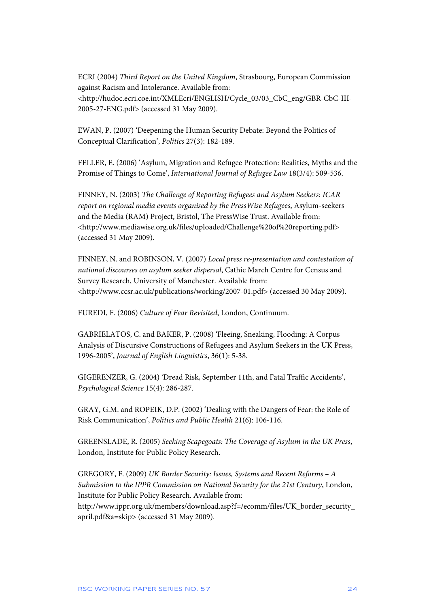ECRI (2004) *Third Report on the United Kingdom*, Strasbourg, European Commission against Racism and Intolerance. Available from: <http://hudoc.ecri.coe.int/XMLEcri/ENGLISH/Cycle\_03/03\_CbC\_eng/GBR-CbC-III-2005-27-ENG.pdf> (accessed 31 May 2009).

EWAN, P. (2007) 'Deepening the Human Security Debate: Beyond the Politics of Conceptual Clarification', *Politics* 27(3): 182-189.

FELLER, E. (2006) 'Asylum, Migration and Refugee Protection: Realities, Myths and the Promise of Things to Come', *International Journal of Refugee Law* 18(3/4): 509-536.

FINNEY, N. (2003) *The Challenge of Reporting Refugees and Asylum Seekers: ICAR report on regional media events organised by the PressWise Refugees*, Asylum-seekers and the Media (RAM) Project, Bristol, The PressWise Trust. Available from: <http://www.mediawise.org.uk/files/uploaded/Challenge%20of%20reporting.pdf> (accessed 31 May 2009).

FINNEY, N. and ROBINSON, V. (2007) *Local press re-presentation and contestation of national discourses on asylum seeker dispersal*, Cathie March Centre for Census and Survey Research, University of Manchester. Available from: <http://www.ccsr.ac.uk/publications/working/2007-01.pdf> (accessed 30 May 2009).

FUREDI, F. (2006) *Culture of Fear Revisited*, London, Continuum.

GABRIELATOS, C. and BAKER, P. (2008) 'Fleeing, Sneaking, Flooding: A Corpus Analysis of Discursive Constructions of Refugees and Asylum Seekers in the UK Press, 1996-2005', *Journal of English Linguistics*, 36(1): 5-38.

GIGERENZER, G. (2004) 'Dread Risk, September 11th, and Fatal Traffic Accidents', *Psychological Science* 15(4): 286-287.

GRAY, G.M. and ROPEIK, D.P. (2002) 'Dealing with the Dangers of Fear: the Role of Risk Communication', *Politics and Public Health* 21(6): 106-116.

GREENSLADE, R. (2005) *Seeking Scapegoats: The Coverage of Asylum in the UK Press*, London, Institute for Public Policy Research.

GREGORY, F. (2009) *UK Border Security: Issues, Systems and Recent Reforms – A Submission to the IPPR Commission on National Security for the 21st Century*, London, Institute for Public Policy Research. Available from: http://www.ippr.org.uk/members/download.asp?f=/ecomm/files/UK\_border\_security\_ april.pdf&a=skip> (accessed 31 May 2009).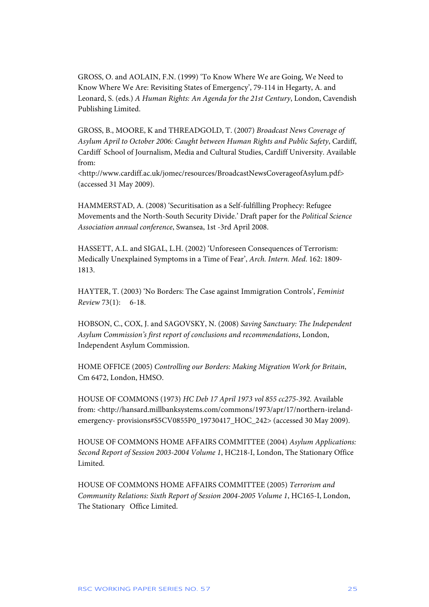GROSS, O. and AOLAIN, F.N. (1999) 'To Know Where We are Going, We Need to Know Where We Are: Revisiting States of Emergency', 79-114 in Hegarty, A. and Leonard, S. (eds.) *A Human Rights: An Agenda for the 21st Century*, London, Cavendish Publishing Limited.

GROSS, B., MOORE, K and THREADGOLD, T. (2007) *Broadcast News Coverage of Asylum April to October 2006: Caught between Human Rights and Public Safety*, Cardiff, Cardiff School of Journalism, Media and Cultural Studies, Cardiff University. Available from:

<http://www.cardiff.ac.uk/jomec/resources/BroadcastNewsCoverageofAsylum.pdf> (accessed 31 May 2009).

HAMMERSTAD, A. (2008) 'Securitisation as a Self-fulfilling Prophecy: Refugee Movements and the North-South Security Divide.' Draft paper for the *Political Science Association annual conference*, Swansea, 1st -3rd April 2008.

HASSETT, A.L. and SIGAL, L.H. (2002) 'Unforeseen Consequences of Terrorism: Medically Unexplained Symptoms in a Time of Fear', *Arch. Intern. Med*. 162: 1809- 1813.

HAYTER, T. (2003) 'No Borders: The Case against Immigration Controls', *Feminist Review* 73(1): 6-18.

HOBSON, C., COX, J. and SAGOVSKY, N. (2008) *Saving Sanctuary: The Independent Asylum Commission's first report of conclusions and recommendations*, London, Independent Asylum Commission.

HOME OFFICE (2005) *Controlling our Borders: Making Migration Work for Britain*, Cm 6472, London, HMSO.

HOUSE OF COMMONS (1973) *HC Deb 17 April 1973 vol 855 cc275-392*. Available from: <http://hansard.millbanksystems.com/commons/1973/apr/17/northern-irelandemergency- provisions#S5CV0855P0\_19730417\_HOC\_242> (accessed 30 May 2009).

HOUSE OF COMMONS HOME AFFAIRS COMMITTEE (2004) *Asylum Applications: Second Report of Session 2003-2004 Volume 1*, HC218-I, London, The Stationary Office **Limited** 

HOUSE OF COMMONS HOME AFFAIRS COMMITTEE (2005) *Terrorism and Community Relations: Sixth Report of Session 2004-2005 Volume 1*, HC165-I, London, The Stationary Office Limited.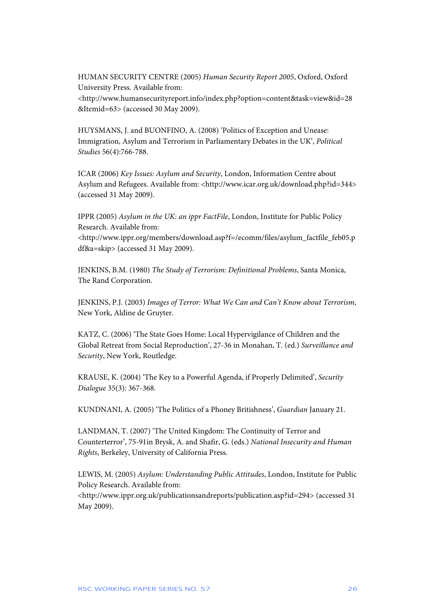HUMAN SECURITY CENTRE (2005) *Human Security Report 2005*, Oxford, Oxford University Press. Available from: <http://www.humansecurityreport.info/index.php?option=content&task=view&id=28

&Itemid=63> (accessed 30 May 2009).

HUYSMANS, J. and BUONFINO, A. (2008) 'Politics of Exception and Unease: Immigration, Asylum and Terrorism in Parliamentary Debates in the UK', *Political Studies* 56(4):766-788.

ICAR (2006) *Key Issues: Asylum and Security*, London, Information Centre about Asylum and Refugees. Available from: <http://www.icar.org.uk/download.php?id=344> (accessed 31 May 2009).

IPPR (2005) *Asylum in the UK: an ippr FactFile*, London, Institute for Public Policy Research. Available from: <http://www.ippr.org/members/download.asp?f=/ecomm/files/asylum\_factfile\_feb05.p

df&a=skip> (accessed 31 May 2009).

JENKINS, B.M. (1980) *The Study of Terrorism: Definitional Problems*, Santa Monica, The Rand Corporation.

JENKINS, P.J. (2003) *Images of Terror: What We Can and Can't Know about Terrorism*, New York, Aldine de Gruyter.

KATZ, C. (2006) 'The State Goes Home: Local Hypervigilance of Children and the Global Retreat from Social Reproduction', 27-36 in Monahan, T. (ed.) *Surveillance and Security*, New York, Routledge.

KRAUSE, K. (2004) 'The Key to a Powerful Agenda, if Properly Delimited', *Security Dialogue* 35(3): 367-368.

KUNDNANI, A. (2005) 'The Politics of a Phoney Britishness', *Guardian* January 21.

LANDMAN, T. (2007) 'The United Kingdom: The Continuity of Terror and Counterterror', 75-91in Brysk, A. and Shafir, G. (eds.) *National Insecurity and Human Rights*, Berkeley, University of California Press.

LEWIS, M. (2005) *Asylum: Understanding Public Attitudes*, London, Institute for Public Policy Research. Available from:

<http://www.ippr.org.uk/publicationsandreports/publication.asp?id=294> (accessed 31 May 2009).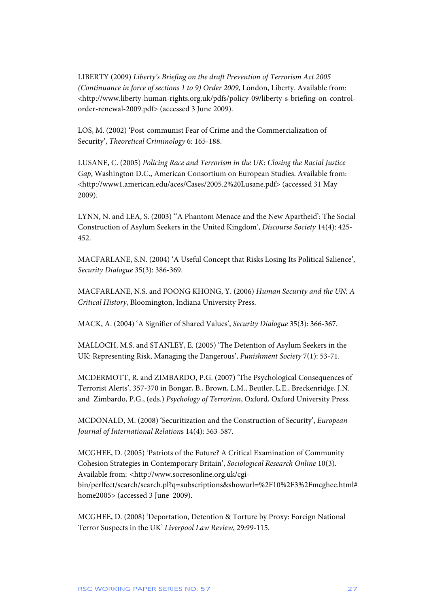LIBERTY (2009) *Liberty's Briefing on the draft Prevention of Terrorism Act 2005 (Continuance in force of sections 1 to 9) Order 2009*, London, Liberty. Available from: <http://www.liberty-human-rights.org.uk/pdfs/policy-09/liberty-s-briefing-on-controlorder-renewal-2009.pdf> (accessed 3 June 2009).

LOS, M. (2002) 'Post-communist Fear of Crime and the Commercialization of Security', *Theoretical Criminology* 6: 165-188.

LUSANE, C. (2005) *Policing Race and Terrorism in the UK: Closing the Racial Justice Gap*, Washington D.C., American Consortium on European Studies. Available from: <http://www1.american.edu/aces/Cases/2005.2%20Lusane.pdf> (accessed 31 May 2009).

LYNN, N. and LEA, S. (2003) ''A Phantom Menace and the New Apartheid': The Social Construction of Asylum Seekers in the United Kingdom', *Discourse Society* 14(4): 425- 452.

MACFARLANE, S.N. (2004) 'A Useful Concept that Risks Losing Its Political Salience', *Security Dialogue* 35(3): 386-369.

MACFARLANE, N.S. and FOONG KHONG, Y. (2006) *Human Security and the UN: A Critical History*, Bloomington, Indiana University Press.

MACK, A. (2004) 'A Signifier of Shared Values', *Security Dialogue* 35(3): 366-367.

MALLOCH, M.S. and STANLEY, E. (2005) 'The Detention of Asylum Seekers in the UK: Representing Risk, Managing the Dangerous', *Punishment Society* 7(1): 53-71.

MCDERMOTT, R. and ZIMBARDO, P.G. (2007) 'The Psychological Consequences of Terrorist Alerts', 357-370 in Bongar, B., Brown, L.M., Beutler, L.E., Breckenridge, J.N. and Zimbardo, P.G., (eds.) *Psychology of Terrorism*, Oxford, Oxford University Press.

MCDONALD, M. (2008) 'Securitization and the Construction of Security', *European Journal of International Relation*s 14(4): 563-587.

MCGHEE, D. (2005) 'Patriots of the Future? A Critical Examination of Community Cohesion Strategies in Contemporary Britain', *Sociological Research Online* 10(3). Available from: <http://www.socresonline.org.uk/cgibin/perlfect/search/search.pl?q=subscriptions&showurl=%2F10%2F3%2Fmcghee.html# home2005> (accessed 3 June 2009).

MCGHEE, D. (2008) 'Deportation, Detention & Torture by Proxy: Foreign National Terror Suspects in the UK' *Liverpool Law Review*, 29:99-115.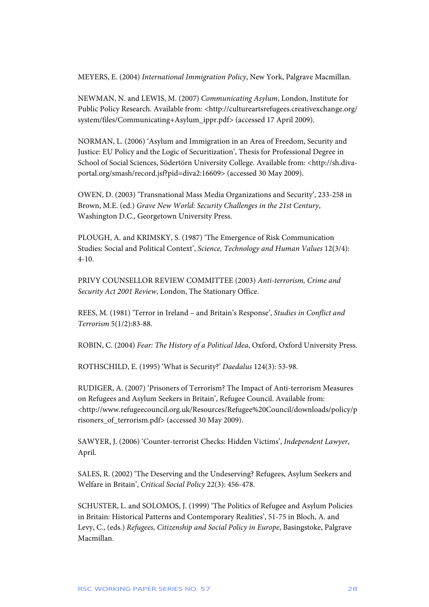MEYERS, E. (2004) *International Immigration Policy*, New York, Palgrave Macmillan.

NEWMAN, N. and LEWIS, M. (2007) *Communicating Asylum*, London, Institute for Public Policy Research. Available from: <http://cultureartsrefugees.creativexchange.org/ system/files/Communicating+Asylum\_ippr.pdf> (accessed 17 April 2009).

NORMAN, L. (2006) 'Asylum and Immigration in an Area of Freedom, Security and Justice: EU Policy and the Logic of Securitization', Thesis for Professional Degree in School of Social Sciences, Södertörn University College. Available from: <http://sh.divaportal.org/smash/record.jsf?pid=diva2:16609> (accessed 30 May 2009).

OWEN, D. (2003) 'Transnational Mass Media Organizations and Security', 233-258 in Brown, M.E. (ed.) *Grave New World: Security Challenges in the 21st Century*, Washington D.C., Georgetown University Press.

PLOUGH, A. and KRIMSKY, S. (1987) 'The Emergence of Risk Communication Studies: Social and Political Context', *Science, Technology and Human Values* 12(3/4): 4-10.

PRIVY COUNSELLOR REVIEW COMMITTEE (2003) *Anti-terrorism, Crime and Security Act 2001 Review*, London, The Stationary Office.

REES, M. (1981) 'Terror in Ireland – and Britain's Response', *Studies in Conflict and Terrorism* 5(1/2):83-88.

ROBIN, C. (2004) *Fear: The History of a Political Idea*, Oxford, Oxford University Press.

ROTHSCHILD, E. (1995) 'What is Security?' *Daedalus* 124(3): 53-98.

RUDIGER, A. (2007) 'Prisoners of Terrorism? The Impact of Anti-terrorism Measures on Refugees and Asylum Seekers in Britain', Refugee Council. Available from: <http://www.refugeecouncil.org.uk/Resources/Refugee%20Council/downloads/policy/p risoners\_of\_terrorism.pdf> (accessed 30 May 2009).

SAWYER, J. (2006) 'Counter-terrorist Checks: Hidden Victims', *Independent Lawyer*, April.

SALES, R. (2002) 'The Deserving and the Undeserving? Refugees, Asylum Seekers and Welfare in Britain', *Critical Social Policy* 22(3): 456-478.

SCHUSTER, L. and SOLOMOS, J. (1999) 'The Politics of Refugee and Asylum Policies in Britain: Historical Patterns and Contemporary Realities', 51-75 in Bloch, A. and Levy, C., (eds.) *Refugees, Citizenship and Social Policy in Europe*, Basingstoke, Palgrave Macmillan.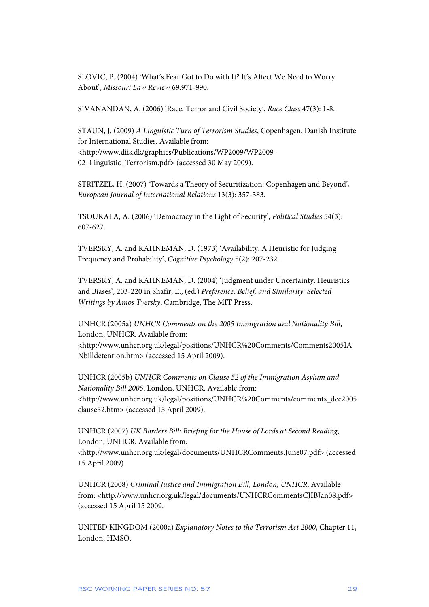SLOVIC, P. (2004) 'What's Fear Got to Do with It? It's Affect We Need to Worry About', *Missouri Law Review* 69:971-990.

SIVANANDAN, A. (2006) 'Race, Terror and Civil Society', *Race Class* 47(3): 1-8.

STAUN, J. (2009) *A Linguistic Turn of Terrorism Studies*, Copenhagen, Danish Institute for International Studies. Available from: <http://www.diis.dk/graphics/Publications/WP2009/WP2009- 02\_Linguistic\_Terrorism.pdf> (accessed 30 May 2009).

STRITZEL, H. (2007) 'Towards a Theory of Securitization: Copenhagen and Beyond', *European Journal of International Relations* 13(3): 357-383.

TSOUKALA, A. (2006) 'Democracy in the Light of Security', *Political Studies* 54(3): 607-627.

TVERSKY, A. and KAHNEMAN, D. (1973) 'Availability: A Heuristic for Judging Frequency and Probability', *Cognitive Psychology* 5(2): 207-232.

TVERSKY, A. and KAHNEMAN, D. (2004) 'Judgment under Uncertainty: Heuristics and Biases', 203-220 in Shafir, E., (ed.) *Preference, Belief, and Similarity: Selected Writings by Amos Tversky*, Cambridge, The MIT Press.

UNHCR (2005a) *UNHCR Comments on the 2005 Immigration and Nationality Bill*, London, UNHCR. Available from: <http://www.unhcr.org.uk/legal/positions/UNHCR%20Comments/Comments2005IA Nbilldetention.htm> (accessed 15 April 2009).

UNHCR (2005b) *UNHCR Comments on Clause 52 of the Immigration Asylum and Nationality Bill 2005*, London, UNHCR. Available from: <http://www.unhcr.org.uk/legal/positions/UNHCR%20Comments/comments\_dec2005 clause52.htm> (accessed 15 April 2009).

UNHCR (2007) *UK Borders Bill: Briefing for the House of Lords at Second Reading*, London, UNHCR. Available from:

<http://www.unhcr.org.uk/legal/documents/UNHCRComments.June07.pdf> (accessed 15 April 2009)

UNHCR (2008) *Criminal Justice and Immigration Bill, London, UNHCR*. Available from: <http://www.unhcr.org.uk/legal/documents/UNHCRCommentsCJIBJan08.pdf> (accessed 15 April 15 2009.

UNITED KINGDOM (2000a) *Explanatory Notes to the Terrorism Act 2000*, Chapter 11, London, HMSO.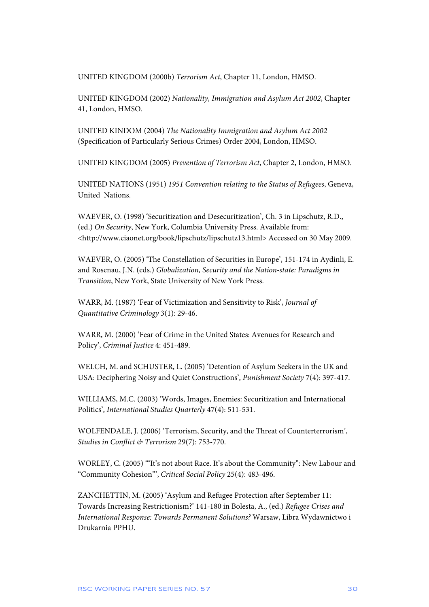UNITED KINGDOM (2000b) *Terrorism Act*, Chapter 11, London, HMSO.

UNITED KINGDOM (2002) *Nationality, Immigration and Asylum Act 2002*, Chapter 41, London, HMSO.

UNITED KINDOM (2004) *The Nationality Immigration and Asylum Act 2002* (Specification of Particularly Serious Crimes) Order 2004, London, HMSO.

UNITED KINGDOM (2005) *Prevention of Terrorism Act*, Chapter 2, London, HMSO.

UNITED NATIONS (1951) *1951 Convention relating to the Status of Refugees*, Geneva, United Nations.

WAEVER, O. (1998) 'Securitization and Desecuritization', Ch. 3 in Lipschutz, R.D., (ed.) *On Security*, New York, Columbia University Press. Available from: <http://www.ciaonet.org/book/lipschutz/lipschutz13.html> Accessed on 30 May 2009.

WAEVER, O. (2005) 'The Constellation of Securities in Europe', 151-174 in Aydinli, E. and Rosenau, J.N. (eds.) *Globalization, Security and the Nation-state: Paradigms in Transition*, New York, State University of New York Press.

WARR, M. (1987) 'Fear of Victimization and Sensitivity to Risk', *Journal of Quantitative Criminology* 3(1): 29-46.

WARR, M. (2000) 'Fear of Crime in the United States: Avenues for Research and Policy', *Criminal Justice* 4: 451-489.

WELCH, M. and SCHUSTER, L. (2005) 'Detention of Asylum Seekers in the UK and USA: Deciphering Noisy and Quiet Constructions', *Punishment Society* 7(4): 397-417.

WILLIAMS, M.C. (2003) 'Words, Images, Enemies: Securitization and International Politics', *International Studies Quarterly* 47(4): 511-531.

WOLFENDALE, J. (2006) 'Terrorism, Security, and the Threat of Counterterrorism', *Studies in Conflict & Terrorism* 29(7): 753-770.

WORLEY, C. (2005) '"It's not about Race. It's about the Community": New Labour and "Community Cohesion"', *Critical Social Policy* 25(4): 483-496.

ZANCHETTIN, M. (2005) 'Asylum and Refugee Protection after September 11: Towards Increasing Restrictionism?' 141-180 in Bolesta, A., (ed.) *Refugee Crises and International Response: Towards Permanent Solutions?* Warsaw, Libra Wydawnictwo i Drukarnia PPHU.